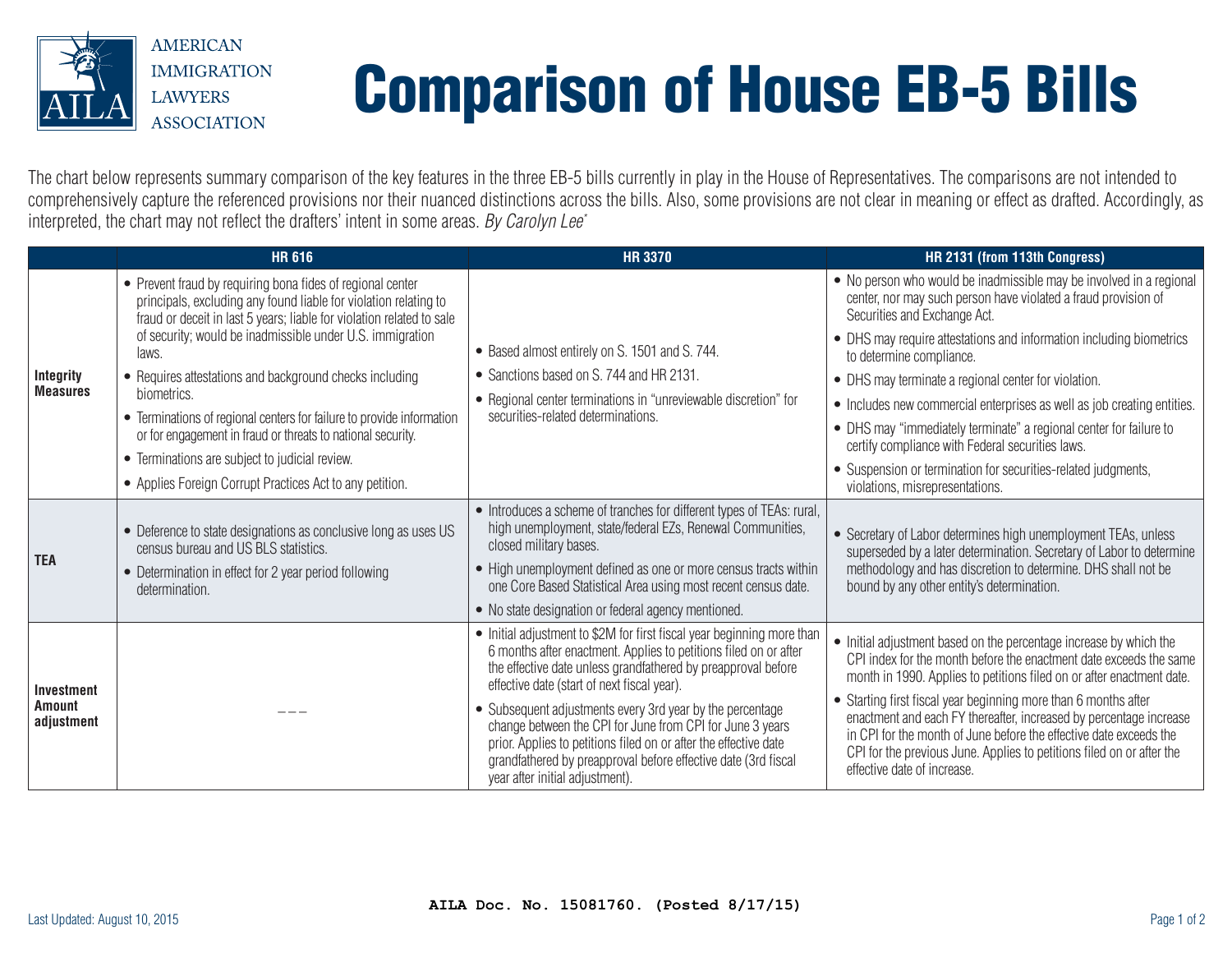

## Comparison of House EB-5 Bills

The chart below represents summary comparison of the key features in the three EB-5 bills currently in play in the House of Representatives. The comparisons are not intended to comprehensively capture the referenced provisions nor their nuanced distinctions across the bills. Also, some provisions are not clear in meaning or effect as drafted. Accordingly, as interpreted, the chart may not reflect the drafters' intent in some areas. *By Carolyn Lee\**

|                                           | <b>HR 616</b>                                                                                                                                                                                           | <b>HR 3370</b>                                                                                                                                                                                                                                                                                     | HR 2131 (from 113th Congress)                                                                                                                                                                                                                                                                                       |
|-------------------------------------------|---------------------------------------------------------------------------------------------------------------------------------------------------------------------------------------------------------|----------------------------------------------------------------------------------------------------------------------------------------------------------------------------------------------------------------------------------------------------------------------------------------------------|---------------------------------------------------------------------------------------------------------------------------------------------------------------------------------------------------------------------------------------------------------------------------------------------------------------------|
| Integrity<br><b>Measures</b>              | • Prevent fraud by requiring bona fides of regional center<br>principals, excluding any found liable for violation relating to<br>fraud or deceit in last 5 years; liable for violation related to sale | • Based almost entirely on S. 1501 and S. 744.<br>• Sanctions based on S. 744 and HR 2131.<br>• Regional center terminations in "unreviewable discretion" for<br>securities-related determinations.                                                                                                | • No person who would be inadmissible may be involved in a regional<br>center, nor may such person have violated a fraud provision of<br>Securities and Exchange Act.                                                                                                                                               |
|                                           | of security; would be inadmissible under U.S. immigration<br>laws.                                                                                                                                      |                                                                                                                                                                                                                                                                                                    | • DHS may require attestations and information including biometrics<br>to determine compliance.                                                                                                                                                                                                                     |
|                                           | • Requires attestations and background checks including<br>biometrics.                                                                                                                                  |                                                                                                                                                                                                                                                                                                    | • DHS may terminate a regional center for violation.                                                                                                                                                                                                                                                                |
|                                           | • Terminations of regional centers for failure to provide information                                                                                                                                   |                                                                                                                                                                                                                                                                                                    | • Includes new commercial enterprises as well as job creating entities.                                                                                                                                                                                                                                             |
|                                           | or for engagement in fraud or threats to national security.                                                                                                                                             |                                                                                                                                                                                                                                                                                                    | • DHS may "immediately terminate" a regional center for failure to<br>certify compliance with Federal securities laws.                                                                                                                                                                                              |
|                                           | • Terminations are subject to judicial review.                                                                                                                                                          |                                                                                                                                                                                                                                                                                                    | • Suspension or termination for securities-related judgments,                                                                                                                                                                                                                                                       |
|                                           | • Applies Foreign Corrupt Practices Act to any petition.                                                                                                                                                |                                                                                                                                                                                                                                                                                                    | violations, misrepresentations.                                                                                                                                                                                                                                                                                     |
| <b>TEA</b>                                | • Deference to state designations as conclusive long as uses US<br>census bureau and US BLS statistics.                                                                                                 | • Introduces a scheme of tranches for different types of TEAs: rural,<br>high unemployment, state/federal EZs, Renewal Communities,<br>closed military bases.<br>• High unemployment defined as one or more census tracts within<br>one Core Based Statistical Area using most recent census date. | • Secretary of Labor determines high unemployment TEAs, unless<br>superseded by a later determination. Secretary of Labor to determine                                                                                                                                                                              |
|                                           | • Determination in effect for 2 year period following<br>determination.                                                                                                                                 |                                                                                                                                                                                                                                                                                                    | methodology and has discretion to determine. DHS shall not be<br>bound by any other entity's determination.                                                                                                                                                                                                         |
|                                           |                                                                                                                                                                                                         | • No state designation or federal agency mentioned.                                                                                                                                                                                                                                                |                                                                                                                                                                                                                                                                                                                     |
| Investment<br><b>Amount</b><br>adjustment |                                                                                                                                                                                                         | • Initial adjustment to \$2M for first fiscal year beginning more than<br>6 months after enactment. Applies to petitions filed on or after<br>the effective date unless grandfathered by preapproval before<br>effective date (start of next fiscal year).                                         | • Initial adjustment based on the percentage increase by which the<br>CPI index for the month before the enactment date exceeds the same<br>month in 1990. Applies to petitions filed on or after enactment date.                                                                                                   |
|                                           |                                                                                                                                                                                                         | • Subsequent adjustments every 3rd year by the percentage<br>change between the CPI for June from CPI for June 3 years<br>prior. Applies to petitions filed on or after the effective date<br>grandfathered by preapproval before effective date (3rd fiscal<br>year after initial adjustment).    | • Starting first fiscal year beginning more than 6 months after<br>enactment and each FY thereafter, increased by percentage increase<br>in CPI for the month of June before the effective date exceeds the<br>CPI for the previous June. Applies to petitions filed on or after the<br>effective date of increase. |